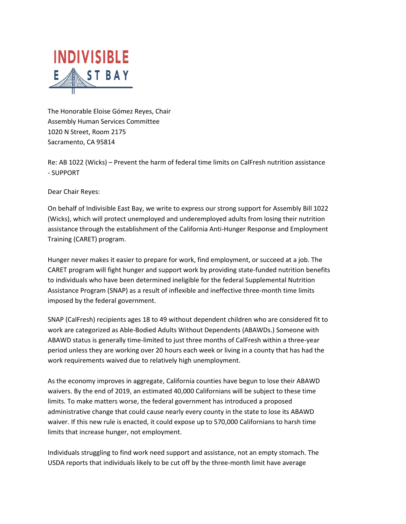

The Honorable Eloise Gómez Reyes, Chair Assembly Human Services Committee 1020 N Street, Room 2175 Sacramento, CA 95814

Re: AB 1022 (Wicks) – Prevent the harm of federal time limits on CalFresh nutrition assistance - SUPPORT

Dear Chair Reyes:

On behalf of Indivisible East Bay, we write to express our strong support for Assembly Bill 1022 (Wicks), which will protect unemployed and underemployed adults from losing their nutrition assistance through the establishment of the California Anti-Hunger Response and Employment Training (CARET) program.

Hunger never makes it easier to prepare for work, find employment, or succeed at a job. The CARET program will fight hunger and support work by providing state-funded nutrition benefits to individuals who have been determined ineligible for the federal Supplemental Nutrition Assistance Program (SNAP) as a result of inflexible and ineffective three-month time limits imposed by the federal government.

SNAP (CalFresh) recipients ages 18 to 49 without dependent children who are considered fit to work are categorized as Able-Bodied Adults Without Dependents (ABAWDs.) Someone with ABAWD status is generally time-limited to just three months of CalFresh within a three-year period unless they are working over 20 hours each week or living in a county that has had the work requirements waived due to relatively high unemployment.

As the economy improves in aggregate, California counties have begun to lose their ABAWD waivers. By the end of 2019, an estimated 40,000 Californians will be subject to these time limits. To make matters worse, the federal government has introduced a proposed administrative change that could cause nearly every county in the state to lose its ABAWD waiver. If this new rule is enacted, it could expose up to 570,000 Californians to harsh time limits that increase hunger, not employment.

Individuals struggling to find work need support and assistance, not an empty stomach. The USDA reports that individuals likely to be cut off by the three-month limit have average